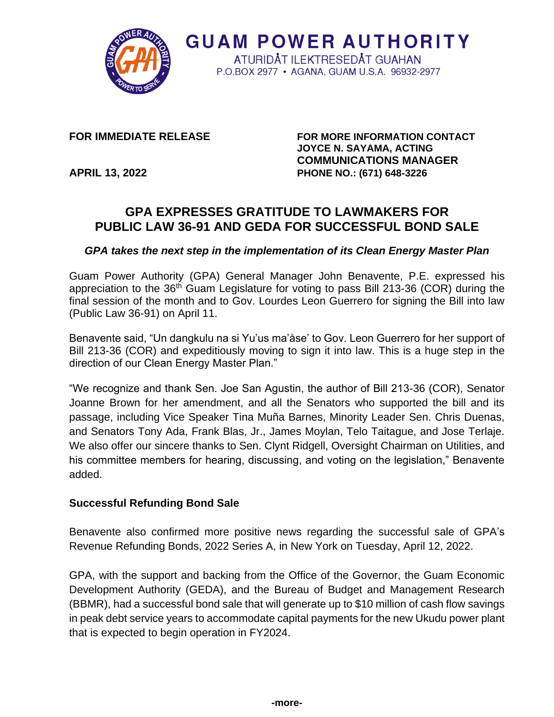

**FOR IMMEDIATE RELEASE FOR MORE INFORMATION CONTACT JOYCE N. SAYAMA, ACTING COMMUNICATIONS MANAGER APRIL 13, 2022 PHONE NO.: (671) 648-3226**

# **GPA EXPRESSES GRATITUDE TO LAWMAKERS FOR PUBLIC LAW 36-91 AND GEDA FOR SUCCESSFUL BOND SALE**

**GUAM POWER AUTHORITY** ATURIDÅT ILEKTRESEDÅT GUAHAN P.O.BOX 2977 • AGANA, GUAM U.S.A. 96932-2977

#### *GPA takes the next step in the implementation of its Clean Energy Master Plan*

Guam Power Authority (GPA) General Manager John Benavente, P.E. expressed his appreciation to the 36<sup>th</sup> Guam Legislature for voting to pass Bill 213-36 (COR) during the final session of the month and to Gov. Lourdes Leon Guerrero for signing the Bill into law (Public Law 36-91) on April 11.

Benavente said, "Un dangkulu na si Yu'us ma'åse' to Gov. Leon Guerrero for her support of Bill 213-36 (COR) and expeditiously moving to sign it into law. This is a huge step in the direction of our Clean Energy Master Plan."

"We recognize and thank Sen. Joe San Agustin, the author of Bill 213-36 (COR), Senator Joanne Brown for her amendment, and all the Senators who supported the bill and its passage, including Vice Speaker Tina Muña Barnes, Minority Leader Sen. Chris Duenas, and Senators Tony Ada, Frank Blas, Jr., James Moylan, Telo Taitague, and Jose Terlaje. We also offer our sincere thanks to Sen. Clynt Ridgell, Oversight Chairman on Utilities, and his committee members for hearing, discussing, and voting on the legislation," Benavente added.

#### **Successful Refunding Bond Sale**

Benavente also confirmed more positive news regarding the successful sale of GPA's Revenue Refunding Bonds, 2022 Series A, in New York on Tuesday, April 12, 2022.

GPA, with the support and backing from the Office of the Governor, the Guam Economic Development Authority (GEDA), and the Bureau of Budget and Management Research (BBMR), had a successful bond sale that will generate up to \$10 million of cash flow savings in peak debt service years to accommodate capital payments for the new Ukudu power plant that is expected to begin operation in FY2024.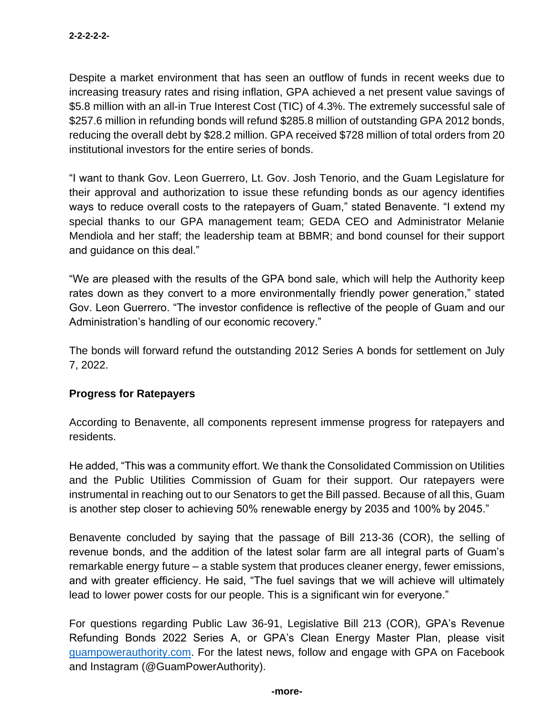Despite a market environment that has seen an outflow of funds in recent weeks due to increasing treasury rates and rising inflation, GPA achieved a net present value savings of \$5.8 million with an all-in True Interest Cost (TIC) of 4.3%. The extremely successful sale of \$257.6 million in refunding bonds will refund \$285.8 million of outstanding GPA 2012 bonds, reducing the overall debt by \$28.2 million. GPA received \$728 million of total orders from 20 institutional investors for the entire series of bonds.

"I want to thank Gov. Leon Guerrero, Lt. Gov. Josh Tenorio, and the Guam Legislature for their approval and authorization to issue these refunding bonds as our agency identifies ways to reduce overall costs to the ratepayers of Guam," stated Benavente. "I extend my special thanks to our GPA management team; GEDA CEO and Administrator Melanie Mendiola and her staff; the leadership team at BBMR; and bond counsel for their support and guidance on this deal."

"We are pleased with the results of the GPA bond sale, which will help the Authority keep rates down as they convert to a more environmentally friendly power generation," stated Gov. Leon Guerrero. "The investor confidence is reflective of the people of Guam and our Administration's handling of our economic recovery."

The bonds will forward refund the outstanding 2012 Series A bonds for settlement on July 7, 2022.

### **Progress for Ratepayers**

According to Benavente, all components represent immense progress for ratepayers and residents.

He added, "This was a community effort. We thank the Consolidated Commission on Utilities and the Public Utilities Commission of Guam for their support. Our ratepayers were instrumental in reaching out to our Senators to get the Bill passed. Because of all this, Guam is another step closer to achieving 50% renewable energy by 2035 and 100% by 2045."

Benavente concluded by saying that the passage of Bill 213-36 (COR), the selling of revenue bonds, and the addition of the latest solar farm are all integral parts of Guam's remarkable energy future – a stable system that produces cleaner energy, fewer emissions, and with greater efficiency. He said, "The fuel savings that we will achieve will ultimately lead to lower power costs for our people. This is a significant win for everyone."

For questions regarding Public Law 36-91, Legislative Bill 213 (COR), GPA's Revenue Refunding Bonds 2022 Series A, or GPA's Clean Energy Master Plan, please visit [guampowerauthority.com.](https://guampowerauthority.com/home/home_home.php) For the latest news, follow and engage with GPA on Facebook and Instagram (@GuamPowerAuthority).